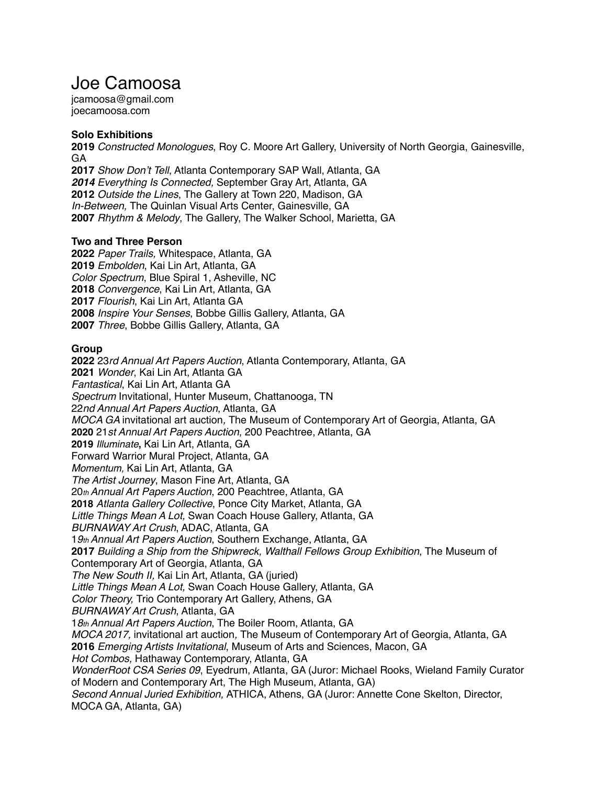# Joe Camoosa

jcamoosa@gmail.com joecamoosa.com

### **Solo Exhibitions**

**2019** *Constructed Monologues*, Roy C. Moore Art Gallery, University of North Georgia, Gainesville, GA

*Show Don't Tell*, Atlanta Contemporary SAP Wall, Atlanta, GA *Everything Is Connected,* September Gray Art, Atlanta, GA *Outside the Lines*, The Gallery at Town 220, Madison, GA *In-Between,* The Quinlan Visual Arts Center, Gainesville, GA *Rhythm & Melody*, The Gallery, The Walker School, Marietta, GA

### **Two and Three Person**

*Paper Trails,* Whitespace, Atlanta, GA *Embolden*, Kai Lin Art, Atlanta, GA *Color Spectrum*, Blue Spiral 1, Asheville, NC *Convergence*, Kai Lin Art, Atlanta, GA *Flourish*, Kai Lin Art, Atlanta GA *Inspire Your Senses*, Bobbe Gillis Gallery, Atlanta, GA *Three*, Bobbe Gillis Gallery, Atlanta, GA

### **Group**

**2022** 23*rd Annual Art Papers Auction*, Atlanta Contemporary, Atlanta, GA **2021** *Wonder*, Kai Lin Art, Atlanta GA *Fantastical*, Kai Lin Art, Atlanta GA *Spectrum* Invitational, Hunter Museum, Chattanooga, TN 22*nd Annual Art Papers Auction*, Atlanta, GA *MOCA GA* invitational art auction*,* The Museum of Contemporary Art of Georgia, Atlanta, GA **2020** 21*st Annual Art Papers Auction*, 200 Peachtree, Atlanta, GA **2019** *Illuminate***,** Kai Lin Art, Atlanta, GA Forward Warrior Mural Project, Atlanta, GA *Momentum,* Kai Lin Art, Atlanta, GA *The Artist Journey*, Mason Fine Art, Atlanta, GA 20*th Annual Art Papers Auction*, 200 Peachtree, Atlanta, GA **2018** *Atlanta Gallery Collective*, Ponce City Market, Atlanta, GA *Little Things Mean A Lot,* Swan Coach House Gallery, Atlanta, GA *BURNAWAY Art Crush*, ADAC, Atlanta, GA 1*9th Annual Art Papers Auction*, Southern Exchange, Atlanta, GA **2017** *Building a Ship from the Shipwreck, Walthall Fellows Group Exhibition*, The Museum of Contemporary Art of Georgia, Atlanta, GA *The New South II,* Kai Lin Art, Atlanta, GA (juried) *Little Things Mean A Lot,* Swan Coach House Gallery, Atlanta, GA *Color Theory,* Trio Contemporary Art Gallery, Athens, GA *BURNAWAY Art Crush*, Atlanta, GA 1*8th Annual Art Papers Auction*, The Boiler Room, Atlanta, GA *MOCA 2017,* invitational art auction*,* The Museum of Contemporary Art of Georgia, Atlanta, GA **2016** *Emerging Artists Invitational*, Museum of Arts and Sciences, Macon, GA *Hot Combos,* Hathaway Contemporary, Atlanta, GA *WonderRoot CSA Series 09*, Eyedrum, Atlanta, GA (Juror: Michael Rooks, Wieland Family Curator of Modern and Contemporary Art, The High Museum, Atlanta, GA) *Second Annual Juried Exhibition,* ATHICA, Athens, GA (Juror: Annette Cone Skelton, Director, MOCA GA, Atlanta, GA)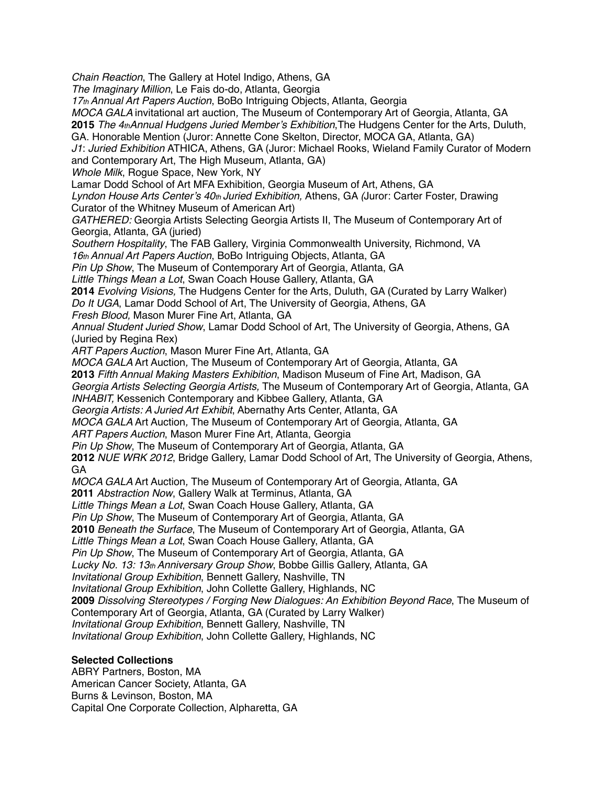*Chain Reaction*, The Gallery at Hotel Indigo, Athens, GA *The Imaginary Million*, Le Fais do-do, Atlanta, Georgia *17th Annual Art Papers Auction*, BoBo Intriguing Objects, Atlanta, Georgia *MOCA GALA* invitational art auction*,* The Museum of Contemporary Art of Georgia, Atlanta, GA **2015** *The 4thAnnual Hudgens Juried Member's Exhibition*,The Hudgens Center for the Arts, Duluth, GA. Honorable Mention (Juror: Annette Cone Skelton, Director, MOCA GA, Atlanta, GA) *J1*: *Juried Exhibition* ATHICA, Athens, GA (Juror: Michael Rooks, Wieland Family Curator of Modern and Contemporary Art, The High Museum, Atlanta, GA) *Whole Milk*, Rogue Space, New York, NY Lamar Dodd School of Art MFA Exhibition, Georgia Museum of Art, Athens, GA *Lyndon House Arts Center's 40th Juried Exhibition,* Athens, GA *(*Juror: Carter Foster, Drawing Curator of the Whitney Museum of American Art) *GATHERED:* Georgia Artists Selecting Georgia Artists II, The Museum of Contemporary Art of Georgia, Atlanta, GA (juried) *Southern Hospitality*, The FAB Gallery, Virginia Commonwealth University, Richmond, VA *16th Annual Art Papers Auction*, BoBo Intriguing Objects, Atlanta, GA *Pin Up Show*, The Museum of Contemporary Art of Georgia, Atlanta, GA *Little Things Mean a Lot*, Swan Coach House Gallery, Atlanta, GA **2014** *Evolving Visions,* The Hudgens Center for the Arts, Duluth, GA (Curated by Larry Walker) *Do It UGA*, Lamar Dodd School of Art, The University of Georgia, Athens, GA *Fresh Blood,* Mason Murer Fine Art, Atlanta, GA *Annual Student Juried Show*, Lamar Dodd School of Art, The University of Georgia, Athens, GA (Juried by Regina Rex) *ART Papers Auction*, Mason Murer Fine Art, Atlanta, GA *MOCA GALA* Art Auction*,* The Museum of Contemporary Art of Georgia, Atlanta, GA **2013** *Fifth Annual Making Masters Exhibition*, Madison Museum of Fine Art, Madison, GA *Georgia Artists Selecting Georgia Artists,* The Museum of Contemporary Art of Georgia, Atlanta, GA *INHABIT,* Kessenich Contemporary and Kibbee Gallery, Atlanta, GA *Georgia Artists: A Juried Art Exhibit*, Abernathy Arts Center, Atlanta, GA *MOCA GALA* Art Auction*,* The Museum of Contemporary Art of Georgia, Atlanta, GA *ART Papers Auction*, Mason Murer Fine Art, Atlanta, Georgia *Pin Up Show*, The Museum of Contemporary Art of Georgia, Atlanta, GA **2012** *NUE WRK 2012*, Bridge Gallery, Lamar Dodd School of Art, The University of Georgia, Athens, GA *MOCA GALA* Art Auction*,* The Museum of Contemporary Art of Georgia, Atlanta, GA **2011** *Abstraction Now*, Gallery Walk at Terminus, Atlanta, GA *Little Things Mean a Lot*, Swan Coach House Gallery, Atlanta, GA *Pin Up Show*, The Museum of Contemporary Art of Georgia, Atlanta, GA **2010** *Beneath the Surface*, The Museum of Contemporary Art of Georgia, Atlanta, GA *Little Things Mean a Lot*, Swan Coach House Gallery, Atlanta, GA *Pin Up Show*, The Museum of Contemporary Art of Georgia, Atlanta, GA *Lucky No. 13: 13th Anniversary Group Show*, Bobbe Gillis Gallery, Atlanta, GA *Invitational Group Exhibition*, Bennett Gallery, Nashville, TN *Invitational Group Exhibition*, John Collette Gallery, Highlands, NC **2009** *Dissolving Stereotypes / Forging New Dialogues: An Exhibition Beyond Race*, The Museum of Contemporary Art of Georgia, Atlanta, GA (Curated by Larry Walker) *Invitational Group Exhibition*, Bennett Gallery, Nashville, TN *Invitational Group Exhibition*, John Collette Gallery, Highlands, NC

# **Selected Collections**

ABRY Partners, Boston, MA American Cancer Society, Atlanta, GA Burns & Levinson, Boston, MA Capital One Corporate Collection, Alpharetta, GA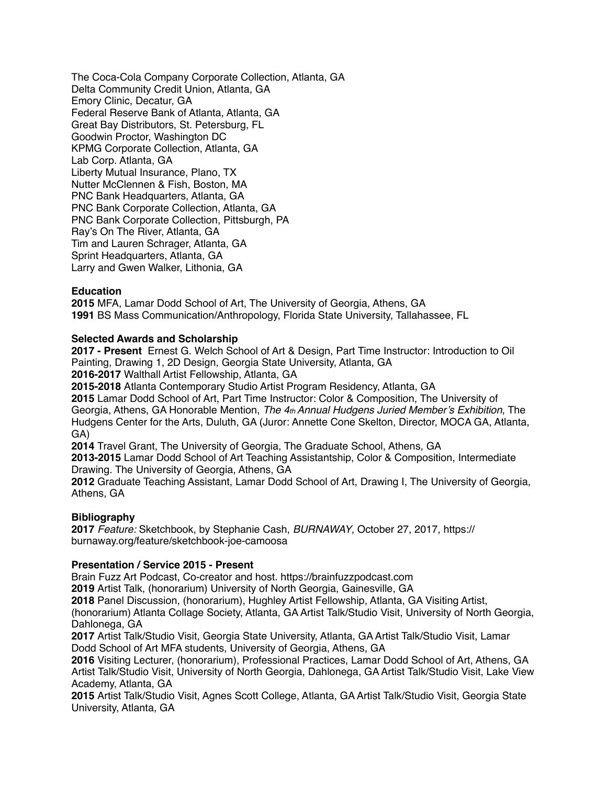The Coca-Cola Company Corporate Collection, Atlanta, GA Delta Community Credit Union, Atlanta, GA Emory Clinic, Decatur, GA Federal Reserve Bank of Atlanta, Atlanta, GA Great Bay Distributors, St. Petersburg, FL Goodwin Proctor, Washington DC KPMG Corporate Collection, Atlanta, GA Lab Corp. Atlanta, GA Liberty Mutual Insurance, Plano, TX Nutter McClennen & Fish, Boston, MA PNC Bank Headquarters, Atlanta, GA PNC Bank Corporate Collection, Atlanta, GA PNC Bank Corporate Collection, Pittsburgh, PA Ray's On The River, Atlanta, GA Tim and Lauren Schrager, Atlanta, GA Sprint Headquarters, Atlanta, GA Larry and Gwen Walker, Lithonia, GA

### **Education**

**2015** MFA, Lamar Dodd School of Art, The University of Georgia, Athens, GA **1991** BS Mass Communication/Anthropology, Florida State University, Tallahassee, FL

### **Selected Awards and Scholarship**

**2017 - Present** Ernest G. Welch School of Art & Design, Part Time Instructor: Introduction to Oil Painting, Drawing 1, 2D Design, Georgia State University, Atlanta, GA

**2016-2017** Walthall Artist Fellowship, Atlanta, GA

**2015-2018** Atlanta Contemporary Studio Artist Program Residency, Atlanta, GA **2015** Lamar Dodd School of Art, Part Time Instructor: Color & Composition, The University of Georgia, Athens, GA Honorable Mention, *The 4th Annual Hudgens Juried Member's Exhibition*, The Hudgens Center for the Arts, Duluth, GA (Juror: Annette Cone Skelton, Director, MOCA GA, Atlanta, GA)

**2014** Travel Grant, The University of Georgia, The Graduate School, Athens, GA

**2013-2015** Lamar Dodd School of Art Teaching Assistantship, Color & Composition, Intermediate Drawing. The University of Georgia, Athens, GA

**2012** Graduate Teaching Assistant, Lamar Dodd School of Art, Drawing I, The University of Georgia, Athens, GA

## **Bibliography**

**2017** *Feature:* Sketchbook, by Stephanie Cash, *BURNAWAY*, October 27, 2017, https:// burnaway.org/feature/sketchbook-joe-camoosa

#### **Presentation / Service 2015 - Present**

Brain Fuzz Art Podcast, Co-creator and host. https://brainfuzzpodcast.com

**2019** Artist Talk, (honorarium) University of North Georgia, Gainesville, GA

**2018** Panel Discussion, (honorarium), Hughley Artist Fellowship, Atlanta, GA Visiting Artist,

(honorarium) Atlanta Collage Society, Atlanta, GA Artist Talk/Studio Visit, University of North Georgia, Dahlonega, GA

**2017** Artist Talk/Studio Visit, Georgia State University, Atlanta, GA Artist Talk/Studio Visit, Lamar Dodd School of Art MFA students, University of Georgia, Athens, GA

**2016** Visiting Lecturer, (honorarium), Professional Practices, Lamar Dodd School of Art, Athens, GA Artist Talk/Studio Visit, University of North Georgia, Dahlonega, GA Artist Talk/Studio Visit, Lake View Academy, Atlanta, GA

**2015** Artist Talk/Studio Visit, Agnes Scott College, Atlanta, GA Artist Talk/Studio Visit, Georgia State University, Atlanta, GA